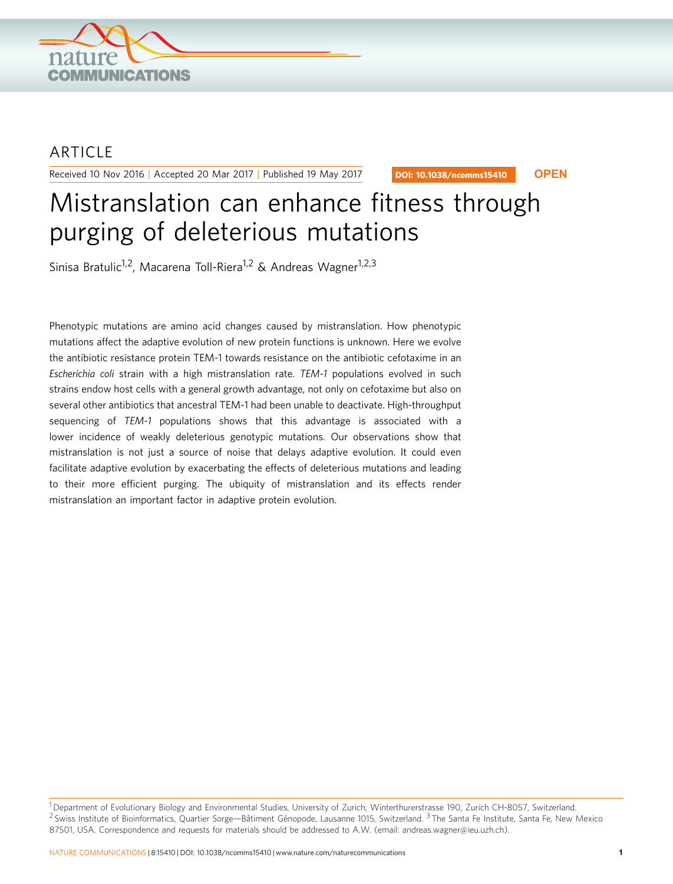

## **ARTICLE**

Received 10 Nov 2016 | Accepted 20 Mar 2017 | Published 19 May 2017

DOI: 10.1038/ncomms15410 **OPEN**

# Mistranslation can enhance fitness through purging of deleterious mutations

Sinisa Bratulic<sup>1,2</sup>, Macarena Toll-Riera<sup>1,2</sup> & Andreas Wagner<sup>1,2,3</sup>

Phenotypic mutations are amino acid changes caused by mistranslation. How phenotypic mutations affect the adaptive evolution of new protein functions is unknown. Here we evolve the antibiotic resistance protein TEM-1 towards resistance on the antibiotic cefotaxime in an Escherichia coli strain with a high mistranslation rate. TEM-1 populations evolved in such strains endow host cells with a general growth advantage, not only on cefotaxime but also on several other antibiotics that ancestral TEM-1 had been unable to deactivate. High-throughput sequencing of TEM-1 populations shows that this advantage is associated with a lower incidence of weakly deleterious genotypic mutations. Our observations show that mistranslation is not just a source of noise that delays adaptive evolution. It could even facilitate adaptive evolution by exacerbating the effects of deleterious mutations and leading to their more efficient purging. The ubiquity of mistranslation and its effects render mistranslation an important factor in adaptive protein evolution.

<sup>1</sup>Department of Evolutionary Biology and Environmental Studies, University of Zurich, Winterthurerstrasse 190, Zurich CH-8057, Switzerland.  $^2$  Swiss Institute of Bioinformatics, Quartier Sorge—Bâtiment Génopode, Lausanne 1015, Switzerland.  $^3$  The Santa Fe Institute, Santa Fe, New Mexico 87501, USA. Correspondence and requests for materials should be addressed to A.W. (email: [andreas.wagner@ieu.uzh.ch](mailto:andreas.wagner@ieu.uzh.ch)).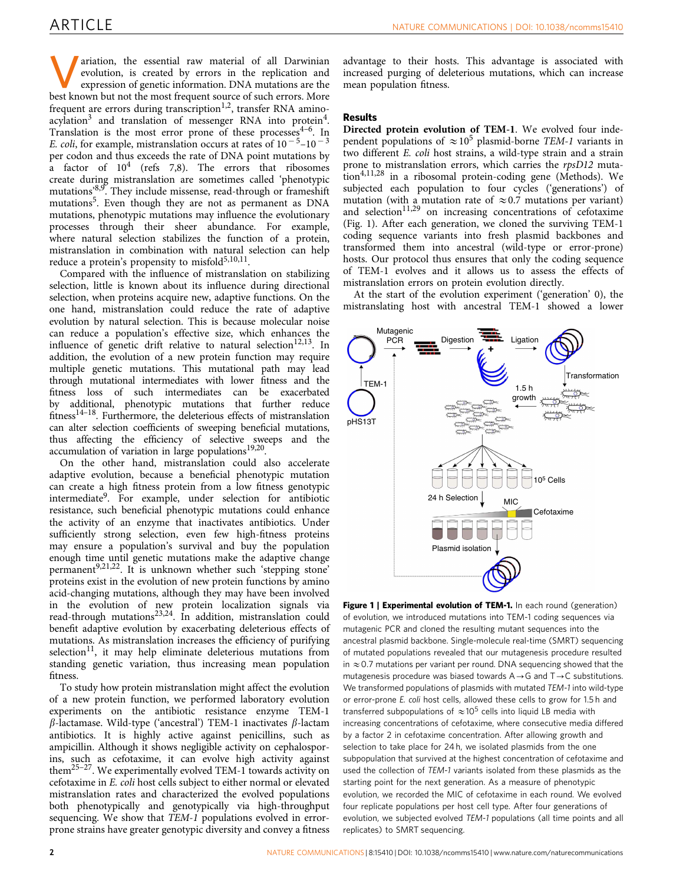**Variation, the essential raw material of all Darwinian**<br>evolution, is created by errors in the replication and<br>expression of genetic information. DNA mutations are the<br>heet known but not the most frequent source of such e evolution, is created by errors in the replication and best known but not the most frequent source of such errors. More frequent are errors during transcription<sup>1,2</sup>, transfer RNA amino-acylation<sup>[3](#page-6-0)</sup> and translation of messenger RNA into protein<sup>4</sup>. Translation is the most error prone of these processes<sup> $4-6$ </sup>. In E. coli, for example, mistranslation occurs at rates of  $10^{-5}$ – $10^{-3}$ per codon and thus exceeds the rate of DNA point mutations by a factor of  $10^4$  ([refs 7,8\)](#page-6-0). The errors that ribosomes create during mistranslation are sometimes called 'phenotypic mutations<sup>8,9</sup>. They include missense, read-through or frameshift mutations<sup>[5](#page-6-0)</sup>. Even though they are not as permanent as DNA mutations, phenotypic mutations may influence the evolutionary processes through their sheer abundance. For example, where natural selection stabilizes the function of a protein, mistranslation in combination with natural selection can help reduce a protein's propensity to misfold $5,10,11$ .

Compared with the influence of mistranslation on stabilizing selection, little is known about its influence during directional selection, when proteins acquire new, adaptive functions. On the one hand, mistranslation could reduce the rate of adaptive evolution by natural selection. This is because molecular noise can reduce a population's effective size, which enhances the influence of genetic drift relative to natural selection<sup>[12,13](#page-7-0)</sup>. In addition, the evolution of a new protein function may require multiple genetic mutations. This mutational path may lead through mutational intermediates with lower fitness and the fitness loss of such intermediates can be exacerbated by additional, phenotypic mutations that further reduce fitness<sup>14–18</sup>. Furthermore, the deleterious effects of mistranslation can alter selection coefficients of sweeping beneficial mutations, thus affecting the efficiency of selective sweeps and the accumulation of variation in large populations $19,20$ .

On the other hand, mistranslation could also accelerate adaptive evolution, because a beneficial phenotypic mutation can create a high fitness protein from a low fitness genotypic intermediate[9](#page-7-0). For example, under selection for antibiotic resistance, such beneficial phenotypic mutations could enhance the activity of an enzyme that inactivates antibiotics. Under sufficiently strong selection, even few high-fitness proteins may ensure a population's survival and buy the population enough time until genetic mutations make the adaptive change permanent<sup>[9,21,22](#page-7-0)</sup>. It is unknown whether such 'stepping stone' proteins exist in the evolution of new protein functions by amino acid-changing mutations, although they may have been involved in the evolution of new protein localization signals via read-through mutations<sup>[23,24](#page-7-0)</sup>. In addition, mistranslation could benefit adaptive evolution by exacerbating deleterious effects of mutations. As mistranslation increases the efficiency of purifying  $s^{11}$ , it may help eliminate deleterious mutations from standing genetic variation, thus increasing mean population fitness.

To study how protein mistranslation might affect the evolution of a new protein function, we performed laboratory evolution experiments on the antibiotic resistance enzyme TEM-1  $\beta$ -lactamase. Wild-type ('ancestral') TEM-1 inactivates  $\beta$ -lactam antibiotics. It is highly active against penicillins, such as ampicillin. Although it shows negligible activity on cephalosporins, such as cefotaxime, it can evolve high activity against them<sup>25-27</sup>. We experimentally evolved TEM-1 towards activity on cefotaxime in E. coli host cells subject to either normal or elevated mistranslation rates and characterized the evolved populations both phenotypically and genotypically via high-throughput sequencing. We show that TEM-1 populations evolved in errorprone strains have greater genotypic diversity and convey a fitness

advantage to their hosts. This advantage is associated with increased purging of deleterious mutations, which can increase mean population fitness.

## Results

Directed protein evolution of TEM-1. We evolved four independent populations of  $\approx 10^5$  plasmid-borne TEM-1 variants in two different E. coli host strains, a wild-type strain and a strain prone to mistranslation errors, which carries the rpsD12 muta- $\frac{1}{100}$  tion<sup>[4,11,28](#page-6-0)</sup> in a ribosomal protein-coding gene (Methods). We subjected each population to four cycles ('generations') of mutation (with a mutation rate of  $\approx 0.7$  mutations per variant) and selection<sup>11,29</sup> on increasing concentrations of cefotaxime (Fig. 1). After each generation, we cloned the surviving TEM-1 coding sequence variants into fresh plasmid backbones and transformed them into ancestral (wild-type or error-prone) hosts. Our protocol thus ensures that only the coding sequence of TEM-1 evolves and it allows us to assess the effects of mistranslation errors on protein evolution directly.

At the start of the evolution experiment ('generation' 0), the mistranslating host with ancestral TEM-1 showed a lower



Figure 1 | Experimental evolution of TEM-1. In each round (generation) of evolution, we introduced mutations into TEM-1 coding sequences via mutagenic PCR and cloned the resulting mutant sequences into the ancestral plasmid backbone. Single-molecule real-time (SMRT) sequencing of mutated populations revealed that our mutagenesis procedure resulted in  $\approx$  0.7 mutations per variant per round. DNA sequencing showed that the mutagenesis procedure was biased towards  $A \rightarrow G$  and  $T \rightarrow C$  substitutions. We transformed populations of plasmids with mutated TEM-1 into wild-type or error-prone E. coli host cells, allowed these cells to grow for 1.5 h and transferred subpopulations of  $\approx 10^5$  cells into liquid LB media with increasing concentrations of cefotaxime, where consecutive media differed by a factor 2 in cefotaxime concentration. After allowing growth and selection to take place for 24 h, we isolated plasmids from the one subpopulation that survived at the highest concentration of cefotaxime and used the collection of TEM-1 variants isolated from these plasmids as the starting point for the next generation. As a measure of phenotypic evolution, we recorded the MIC of cefotaxime in each round. We evolved four replicate populations per host cell type. After four generations of evolution, we subjected evolved TEM-1 populations (all time points and all replicates) to SMRT sequencing.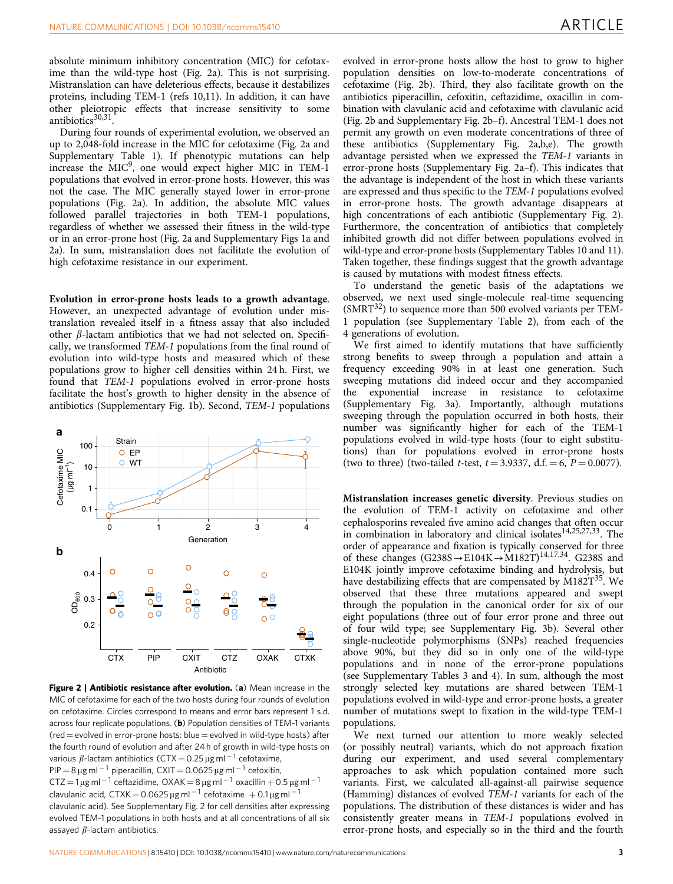<span id="page-2-0"></span>absolute minimum inhibitory concentration (MIC) for cefotaxime than the wild-type host (Fig. 2a). This is not surprising. Mistranslation can have deleterious effects, because it destabilizes proteins, including TEM-1 [\(refs 10,11\)](#page-7-0). In addition, it can have other pleiotropic effects that increase sensitivity to some antibiotics<sup>30,31</sup>.

During four rounds of experimental evolution, we observed an up to 2,048-fold increase in the MIC for cefotaxime (Fig. 2a and Supplementary Table 1). If phenotypic mutations can help increase the  $MIC<sup>9</sup>$  $MIC<sup>9</sup>$  $MIC<sup>9</sup>$ , one would expect higher MIC in TEM-1 populations that evolved in error-prone hosts. However, this was not the case. The MIC generally stayed lower in error-prone populations (Fig. 2a). In addition, the absolute MIC values followed parallel trajectories in both TEM-1 populations, regardless of whether we assessed their fitness in the wild-type or in an error-prone host (Fig. 2a and Supplementary Figs 1a and 2a). In sum, mistranslation does not facilitate the evolution of high cefotaxime resistance in our experiment.

Evolution in error-prone hosts leads to a growth advantage. However, an unexpected advantage of evolution under mistranslation revealed itself in a fitness assay that also included other  $\beta$ -lactam antibiotics that we had not selected on. Specifically, we transformed TEM-1 populations from the final round of evolution into wild-type hosts and measured which of these populations grow to higher cell densities within 24 h. First, we found that TEM-1 populations evolved in error-prone hosts facilitate the host's growth to higher density in the absence of antibiotics (Supplementary Fig. 1b). Second, TEM-1 populations



Figure 2 | Antibiotic resistance after evolution. (a) Mean increase in the MIC of cefotaxime for each of the two hosts during four rounds of evolution on cefotaxime. Circles correspond to means and error bars represent 1 s.d. across four replicate populations. (b) Population densities of TEM-1 variants  $(\text{red} = \text{evolved in error-prone hosts}; \text{blue} = \text{evolved in wild-type hosts})$  after the fourth round of evolution and after 24 h of growth in wild-type hosts on various  $\beta$ -lactam antibiotics (CTX  $=$  0.25  $\mu$ g ml  $^{-1}$  cefotaxime, PIP  $=$  8  $\mu$ g ml  $^{-1}$  piperacillin, <code>CXIT</code>  $=$  0.0625  $\mu$ g ml  $^{-1}$  cefoxitin, CTZ  $=$  1  $\mu$ g ml  $^{-1}$  ceftazidime, OXAK  $=$  8  $\mu$ g ml  $^{-1}$  oxacillin  $+$  0.5  $\mu$ g ml  $^{-1}$ clavulanic acid, CTXK = 0.0625  $\mu$ g ml  $^{-1}$  cefotaxime  $\, +$  0.1  $\mu$ g ml  $^{-1}$ clavulanic acid). See Supplementary Fig. 2 for cell densities after expressing evolved TEM-1 populations in both hosts and at all concentrations of all six assayed  $\beta$ -lactam antibiotics.

evolved in error-prone hosts allow the host to grow to higher population densities on low-to-moderate concentrations of cefotaxime (Fig. 2b). Third, they also facilitate growth on the antibiotics piperacillin, cefoxitin, ceftazidime, oxacillin in combination with clavulanic acid and cefotaxime with clavulanic acid (Fig. 2b and Supplementary Fig. 2b–f). Ancestral TEM-1 does not permit any growth on even moderate concentrations of three of these antibiotics (Supplementary Fig. 2a,b,e). The growth advantage persisted when we expressed the TEM-1 variants in error-prone hosts (Supplementary Fig. 2a–f). This indicates that the advantage is independent of the host in which these variants are expressed and thus specific to the TEM-1 populations evolved in error-prone hosts. The growth advantage disappears at high concentrations of each antibiotic (Supplementary Fig. 2). Furthermore, the concentration of antibiotics that completely inhibited growth did not differ between populations evolved in wild-type and error-prone hosts (Supplementary Tables 10 and 11). Taken together, these findings suggest that the growth advantage is caused by mutations with modest fitness effects.

To understand the genetic basis of the adaptations we observed, we next used single-molecule real-time sequencing  $(SMRT<sup>32</sup>)$  to sequence more than 500 evolved variants per TEM-1 population (see Supplementary Table 2), from each of the 4 generations of evolution.

We first aimed to identify mutations that have sufficiently strong benefits to sweep through a population and attain a frequency exceeding 90% in at least one generation. Such sweeping mutations did indeed occur and they accompanied the exponential increase in resistance to cefotaxime (Supplementary Fig. 3a). Importantly, although mutations sweeping through the population occurred in both hosts, their number was significantly higher for each of the TEM-1 populations evolved in wild-type hosts (four to eight substitutions) than for populations evolved in error-prone hosts (two to three) (two-tailed *t*-test,  $t = 3.9337$ , d.f.  $= 6$ ,  $P = 0.0077$ ).

Mistranslation increases genetic diversity. Previous studies on the evolution of TEM-1 activity on cefotaxime and other cephalosporins revealed five amino acid changes that often occur in combination in laboratory and clinical isolates<sup>[14,25,27,33](#page-7-0)</sup>. The order of appearance and fixation is typically conserved for three of these changes  $(G238S \rightarrow E104K \rightarrow M182T)^{14,17,34}$ . G238S and E104K jointly improve cefotaxime binding and hydrolysis, but have destabilizing effects that are compensated by  $M182T^{35}$ . We observed that these three mutations appeared and swept through the population in the canonical order for six of our eight populations (three out of four error prone and three out of four wild type; see Supplementary Fig. 3b). Several other single-nucleotide polymorphisms (SNPs) reached frequencies above 90%, but they did so in only one of the wild-type populations and in none of the error-prone populations (see Supplementary Tables 3 and 4). In sum, although the most strongly selected key mutations are shared between TEM-1 populations evolved in wild-type and error-prone hosts, a greater number of mutations swept to fixation in the wild-type TEM-1 populations.

We next turned our attention to more weakly selected (or possibly neutral) variants, which do not approach fixation during our experiment, and used several complementary approaches to ask which population contained more such variants. First, we calculated all-against-all pairwise sequence (Hamming) distances of evolved TEM-1 variants for each of the populations. The distribution of these distances is wider and has consistently greater means in TEM-1 populations evolved in error-prone hosts, and especially so in the third and the fourth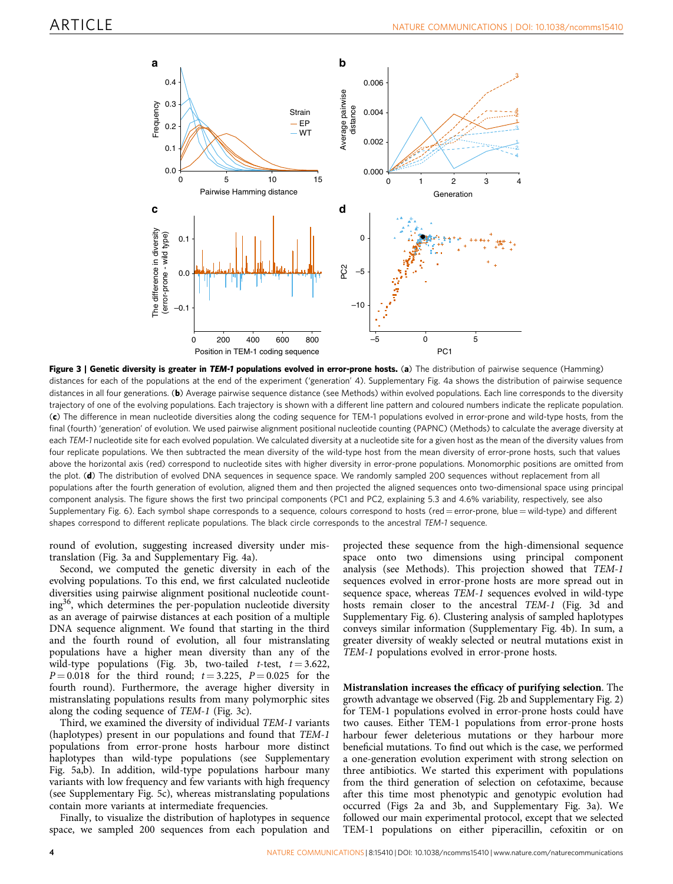<span id="page-3-0"></span>

Figure 3 | Genetic diversity is greater in TEM-1 populations evolved in error-prone hosts. (a) The distribution of pairwise sequence (Hamming) distances for each of the populations at the end of the experiment ('generation' 4). Supplementary Fig. 4a shows the distribution of pairwise sequence distances in all four generations. (b) Average pairwise sequence distance (see Methods) within evolved populations. Each line corresponds to the diversity trajectory of one of the evolving populations. Each trajectory is shown with a different line pattern and coloured numbers indicate the replicate population. (c) The difference in mean nucleotide diversities along the coding sequence for TEM-1 populations evolved in error-prone and wild-type hosts, from the final (fourth) 'generation' of evolution. We used pairwise alignment positional nucleotide counting (PAPNC) (Methods) to calculate the average diversity at each TEM-1 nucleotide site for each evolved population. We calculated diversity at a nucleotide site for a given host as the mean of the diversity values from four replicate populations. We then subtracted the mean diversity of the wild-type host from the mean diversity of error-prone hosts, such that values above the horizontal axis (red) correspond to nucleotide sites with higher diversity in error-prone populations. Monomorphic positions are omitted from the plot. (d) The distribution of evolved DNA sequences in sequence space. We randomly sampled 200 sequences without replacement from all populations after the fourth generation of evolution, aligned them and then projected the aligned sequences onto two-dimensional space using principal component analysis. The figure shows the first two principal components (PC1 and PC2, explaining 5.3 and 4.6% variability, respectively, see also Supplementary Fig. 6). Each symbol shape corresponds to a sequence, colours correspond to hosts (red = error-prone, blue = wild-type) and different shapes correspond to different replicate populations. The black circle corresponds to the ancestral TEM-1 sequence.

round of evolution, suggesting increased diversity under mistranslation (Fig. 3a and Supplementary Fig. 4a).

Second, we computed the genetic diversity in each of the evolving populations. To this end, we first calculated nucleotide diversities using pairwise alignment positional nucleotide counting[36,](#page-7-0) which determines the per-population nucleotide diversity as an average of pairwise distances at each position of a multiple DNA sequence alignment. We found that starting in the third and the fourth round of evolution, all four mistranslating populations have a higher mean diversity than any of the wild-type populations (Fig. 3b, two-tailed t-test,  $t = 3.622$ ,  $P = 0.018$  for the third round;  $t = 3.225$ ,  $P = 0.025$  for the fourth round). Furthermore, the average higher diversity in mistranslating populations results from many polymorphic sites along the coding sequence of TEM-1 (Fig. 3c).

Third, we examined the diversity of individual TEM-1 variants (haplotypes) present in our populations and found that TEM-1 populations from error-prone hosts harbour more distinct haplotypes than wild-type populations (see Supplementary Fig. 5a,b). In addition, wild-type populations harbour many variants with low frequency and few variants with high frequency (see Supplementary Fig. 5c), whereas mistranslating populations contain more variants at intermediate frequencies.

Finally, to visualize the distribution of haplotypes in sequence space, we sampled 200 sequences from each population and projected these sequence from the high-dimensional sequence space onto two dimensions using principal component analysis (see Methods). This projection showed that TEM-1 sequences evolved in error-prone hosts are more spread out in sequence space, whereas TEM-1 sequences evolved in wild-type hosts remain closer to the ancestral TEM-1 (Fig. 3d and Supplementary Fig. 6). Clustering analysis of sampled haplotypes conveys similar information (Supplementary Fig. 4b). In sum, a greater diversity of weakly selected or neutral mutations exist in TEM-1 populations evolved in error-prone hosts.

Mistranslation increases the efficacy of purifying selection. The growth advantage we observed ([Fig. 2b](#page-2-0) and Supplementary Fig. 2) for TEM-1 populations evolved in error-prone hosts could have two causes. Either TEM-1 populations from error-prone hosts harbour fewer deleterious mutations or they harbour more beneficial mutations. To find out which is the case, we performed a one-generation evolution experiment with strong selection on three antibiotics. We started this experiment with populations from the third generation of selection on cefotaxime, because after this time most phenotypic and genotypic evolution had occurred ([Figs 2a and 3b,](#page-2-0) and Supplementary Fig. 3a). We followed our main experimental protocol, except that we selected TEM-1 populations on either piperacillin, cefoxitin or on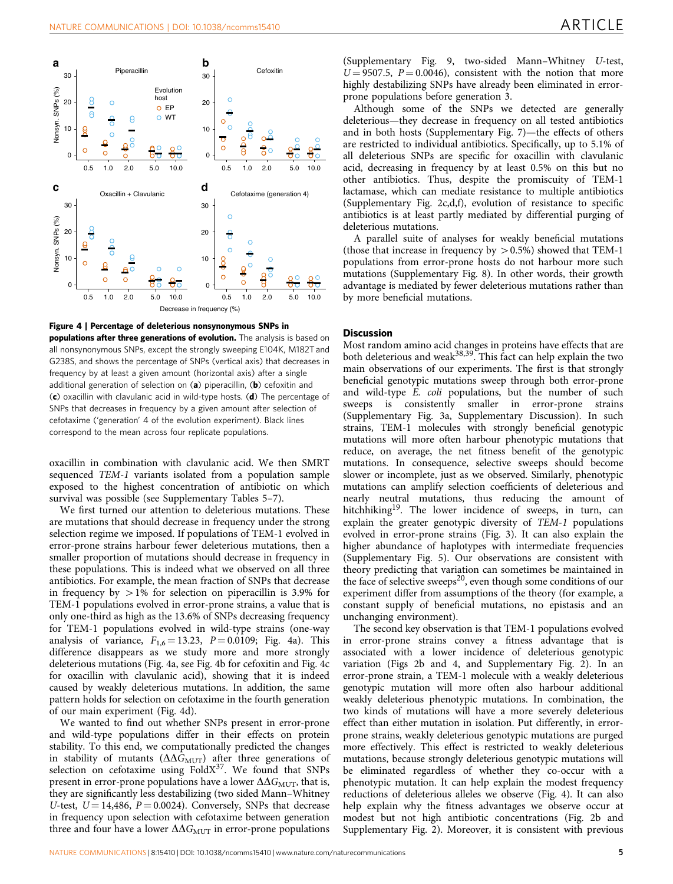

Figure 4 | Percentage of deleterious nonsynonymous SNPs in populations after three generations of evolution. The analysis is based on all nonsynonymous SNPs, except the strongly sweeping E104K, M182T and G238S, and shows the percentage of SNPs (vertical axis) that decreases in frequency by at least a given amount (horizontal axis) after a single additional generation of selection on  $(a)$  piperacillin,  $(b)$  cefoxitin and (c) oxacillin with clavulanic acid in wild-type hosts. (d) The percentage of SNPs that decreases in frequency by a given amount after selection of cefotaxime ('generation' 4 of the evolution experiment). Black lines correspond to the mean across four replicate populations.

oxacillin in combination with clavulanic acid. We then SMRT sequenced TEM-1 variants isolated from a population sample exposed to the highest concentration of antibiotic on which survival was possible (see Supplementary Tables 5–7).

We first turned our attention to deleterious mutations. These are mutations that should decrease in frequency under the strong selection regime we imposed. If populations of TEM-1 evolved in error-prone strains harbour fewer deleterious mutations, then a smaller proportion of mutations should decrease in frequency in these populations. This is indeed what we observed on all three antibiotics. For example, the mean fraction of SNPs that decrease in frequency by  $>1\%$  for selection on piperacillin is 3.9% for TEM-1 populations evolved in error-prone strains, a value that is only one-third as high as the 13.6% of SNPs decreasing frequency for TEM-1 populations evolved in wild-type strains (one-way analysis of variance,  $F_{1,6} = 13.23$ ,  $P = 0.0109$ ; Fig. 4a). This difference disappears as we study more and more strongly deleterious mutations (Fig. 4a, see Fig. 4b for cefoxitin and Fig. 4c for oxacillin with clavulanic acid), showing that it is indeed caused by weakly deleterious mutations. In addition, the same pattern holds for selection on cefotaxime in the fourth generation of our main experiment (Fig. 4d).

We wanted to find out whether SNPs present in error-prone and wild-type populations differ in their effects on protein stability. To this end, we computationally predicted the changes in stability of mutants ( $\Delta\Delta G_{\rm{MUT}}$ ) after three generations of selection on cefotaxime using  $FoldX<sup>37</sup>$ . We found that SNPs present in error-prone populations have a lower  $\Delta\Delta G_{\text{MUT}}$ , that is, they are significantly less destabilizing (two sided Mann–Whitney U-test,  $U = 14,486$ ,  $P = 0.0024$ ). Conversely, SNPs that decrease in frequency upon selection with cefotaxime between generation three and four have a lower  $\Delta\Delta G_{\text{MUT}}$  in error-prone populations

(Supplementary Fig. 9, two-sided Mann–Whitney U-test,  $U = 9507.5$ ,  $P = 0.0046$ , consistent with the notion that more highly destabilizing SNPs have already been eliminated in errorprone populations before generation 3.

Although some of the SNPs we detected are generally deleterious—they decrease in frequency on all tested antibiotics and in both hosts (Supplementary Fig. 7)—the effects of others are restricted to individual antibiotics. Specifically, up to 5.1% of all deleterious SNPs are specific for oxacillin with clavulanic acid, decreasing in frequency by at least 0.5% on this but no other antibiotics. Thus, despite the promiscuity of TEM-1 lactamase, which can mediate resistance to multiple antibiotics (Supplementary Fig. 2c,d,f), evolution of resistance to specific antibiotics is at least partly mediated by differential purging of deleterious mutations.

A parallel suite of analyses for weakly beneficial mutations (those that increase in frequency by  $> 0.5\%$ ) showed that TEM-1 populations from error-prone hosts do not harbour more such mutations (Supplementary Fig. 8). In other words, their growth advantage is mediated by fewer deleterious mutations rather than by more beneficial mutations.

#### **Discussion**

Most random amino acid changes in proteins have effects that are both deleterious and weak<sup>38,39</sup>. This fact can help explain the two main observations of our experiments. The first is that strongly beneficial genotypic mutations sweep through both error-prone and wild-type E. coli populations, but the number of such sweeps is consistently smaller in error-prone strains (Supplementary Fig. 3a, Supplementary Discussion). In such strains, TEM-1 molecules with strongly beneficial genotypic mutations will more often harbour phenotypic mutations that reduce, on average, the net fitness benefit of the genotypic mutations. In consequence, selective sweeps should become slower or incomplete, just as we observed. Similarly, phenotypic mutations can amplify selection coefficients of deleterious and nearly neutral mutations, thus reducing the amount of hitchhiking[19](#page-7-0). The lower incidence of sweeps, in turn, can explain the greater genotypic diversity of TEM-1 populations evolved in error-prone strains [\(Fig. 3](#page-3-0)). It can also explain the higher abundance of haplotypes with intermediate frequencies (Supplementary Fig. 5). Our observations are consistent with theory predicting that variation can sometimes be maintained in the face of selective sweeps<sup>20</sup>, even though some conditions of our experiment differ from assumptions of the theory (for example, a constant supply of beneficial mutations, no epistasis and an unchanging environment).

The second key observation is that TEM-1 populations evolved in error-prone strains convey a fitness advantage that is associated with a lower incidence of deleterious genotypic variation ([Figs 2b and 4](#page-2-0), and Supplementary Fig. 2). In an error-prone strain, a TEM-1 molecule with a weakly deleterious genotypic mutation will more often also harbour additional weakly deleterious phenotypic mutations. In combination, the two kinds of mutations will have a more severely deleterious effect than either mutation in isolation. Put differently, in errorprone strains, weakly deleterious genotypic mutations are purged more effectively. This effect is restricted to weakly deleterious mutations, because strongly deleterious genotypic mutations will be eliminated regardless of whether they co-occur with a phenotypic mutation. It can help explain the modest frequency reductions of deleterious alleles we observe (Fig. 4). It can also help explain why the fitness advantages we observe occur at modest but not high antibiotic concentrations ([Fig. 2b](#page-2-0) and Supplementary Fig. 2). Moreover, it is consistent with previous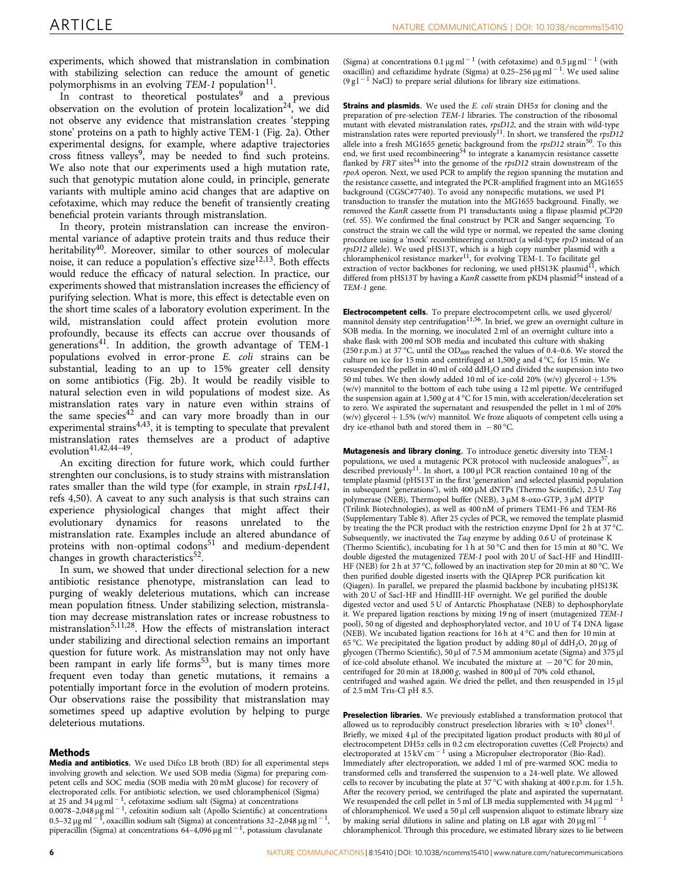experiments, which showed that mistranslation in combination with stabilizing selection can reduce the amount of genetic polymorphisms in an evolving  $TEM-1$  population<sup>[11](#page-7-0)</sup>.

In contrast to theoretical postulates<sup>[9](#page-7-0)</sup> and a previous observation on the evolution of protein localization<sup>24</sup>, we did not observe any evidence that mistranslation creates 'stepping stone' proteins on a path to highly active TEM-1 [\(Fig. 2a](#page-2-0)). Other experimental designs, for example, where adaptive trajectories cross fitness valleys<sup>9</sup>, may be needed to find such proteins. We also note that our experiments used a high mutation rate, such that genotypic mutation alone could, in principle, generate variants with multiple amino acid changes that are adaptive on cefotaxime, which may reduce the benefit of transiently creating beneficial protein variants through mistranslation.

In theory, protein mistranslation can increase the environmental variance of adaptive protein traits and thus reduce their heritability<sup>40</sup>. Moreover, similar to other sources of molecular noise, it can reduce a population's effective size<sup>12,13</sup>. Both effects would reduce the efficacy of natural selection. In practice, our experiments showed that mistranslation increases the efficiency of purifying selection. What is more, this effect is detectable even on the short time scales of a laboratory evolution experiment. In the wild, mistranslation could affect protein evolution more profoundly, because its effects can accrue over thousands of generations<sup>[41](#page-7-0)</sup>. In addition, the growth advantage of TEM-1 populations evolved in error-prone E. coli strains can be substantial, leading to an up to 15% greater cell density on some antibiotics [\(Fig. 2b\)](#page-2-0). It would be readily visible to natural selection even in wild populations of modest size. As mistranslation rates vary in nature even within strains of the same species<sup>42</sup> and can vary more broadly than in our experimental strains<sup> $4,43$ </sup>, it is tempting to speculate that prevalent mistranslation rates themselves are a product of adaptive evolution $41,42,44-49$ .

An exciting direction for future work, which could further strenghten our conclusions, is to study strains with mistranslation rates smaller than the wild type (for example, in strain rpsL141, [refs 4,50](#page-6-0)). A caveat to any such analysis is that such strains can experience physiological changes that might affect their evolutionary dynamics for reasons unrelated to the mistranslation rate. Examples include an altered abundance of proteins with non-optimal codons<sup>[51](#page-7-0)</sup> and medium-dependent changes in growth characteristics<sup>[52](#page-7-0)</sup>.

In sum, we showed that under directional selection for a new antibiotic resistance phenotype, mistranslation can lead to purging of weakly deleterious mutations, which can increase mean population fitness. Under stabilizing selection, mistranslation may decrease mistranslation rates or increase robustness to mistranslation<sup>[5,11,28](#page-6-0)</sup>. How the effects of mistranslation interact under stabilizing and directional selection remains an important question for future work. As mistranslation may not only have been rampant in early life forms<sup>53</sup>, but is many times more frequent even today than genetic mutations, it remains a potentially important force in the evolution of modern proteins. Our observations raise the possibility that mistranslation may sometimes speed up adaptive evolution by helping to purge deleterious mutations.

### Methods

Media and antibiotics. We used Difco LB broth (BD) for all experimental steps involving growth and selection. We used SOB media (Sigma) for preparing competent cells and SOC media (SOB media with 20 mM glucose) for recovery of electroporated cells. For antibiotic selection, we used chloramphenicol (Sigma) at 25 and 34  $\mu$ g ml<sup>-1</sup>, cefotaxime sodium salt (Sigma) at concentrations  $0.0078 - 2,048 \,\text{\upmu}\text{g} \,\text{ml}^{-1}$ , cefoxitin sodium salt (Apollo Scientific) at concentrations 0.5–32 µg ml  $^{-1}$ , oxacillin sodium salt (Sigma) at concentrations 32–2,048 µg ml  $^{-1}$ , piperacillin (Sigma) at concentrations 64–4,096  $\mu$ g ml<sup>-1</sup>, potassium clavulanate

(Sigma) at concentrations  $0.1 \,\mathrm{\upmu g\,ml}^{-1}$  (with cefotaxime) and  $0.5 \,\mathrm{\upmu g\,ml}^{-1}$  (with oxacillin) and ceftazidime hydrate (Sigma) at  $0.25-256 \,\mathrm{\mu g\,ml}^{-1}$ . We used saline  $(9 g l<sup>-1</sup>$  NaCl) to prepare serial dilutions for library size estimations.

**Strains and plasmids.** We used the E. coli strain  $DH5\alpha$  for cloning and the preparation of pre-selection TEM-1 libraries. The construction of the ribosomal mutant with elevated mistranslation rates,  $rpsD12$ , and the strain with wild-type mistranslation rates were reported previously<sup>11</sup>. In short, we transfered the  $rpsD12$ allele into a fresh MG1655 genetic background from the  $rpsD12$  strain<sup>[50](#page-7-0)</sup>. To this end, we first used recombineering<sup>[54](#page-7-0)</sup> to integrate a kanamycin resistance cassette flanked by  $FRT$  sites<sup>[54](#page-7-0)</sup> into the genome of the  $rpsD12$  strain downstream of the rpoA operon. Next, we used PCR to amplify the region spanning the mutation and the resistance cassette, and integrated the PCR-amplified fragment into an MG1655 background (CGSC#7740). To avoid any nonspecific mutations, we used P1 transduction to transfer the mutation into the MG1655 background. Finally, we removed the KanR cassette from P1 transductants using a flipase plasmid pCP20 [\(ref. 55](#page-7-0)). We confirmed the final construct by PCR and Sanger sequencing. To construct the strain we call the wild type or normal, we repeated the same cloning procedure using a 'mock' recombineering construct (a wild-type rpsD instead of an *rpsD12* allele). We used pHS13T, which is a high copy number plasmid with a chloramphenicol resistance marker<sup>[11](#page-7-0)</sup>, for evolving TEM-1. To facilitate gel extraction of vector backbones for recloning, we used pHS13K plasmid<sup>[11](#page-7-0)</sup>, which differed from pHS13T by having a KanR cassette from pKD4 plasmid<sup>[54](#page-7-0)</sup> instead of a TEM-1 gene.

Electrocompetent cells. To prepare electrocompetent cells, we used glycerol/ mannitol density step centrifugation<sup>11,56</sup>. In brief, we grew an overnight culture in SOB media. In the morning, we inoculated 2 ml of an overnight culture into a shake flask with 200 ml SOB media and incubated this culture with shaking (250 r.p.m.) at 37 °C, until the  $OD_{600}$  reached the values of 0.4–0.6. We stored the culture on ice for 15 min and centrifuged at  $1,500 g$  and  $4^{\circ}$ C, for 15 min. We resuspended the pellet in 40 ml of cold ddH2O and divided the suspension into two 50 ml tubes. We then slowly added 10 ml of ice-cold 20% (w/v) glycerol +  $1.5%$ (w/v) mannitol to the bottom of each tube using a 12 ml pipette. We centrifuged the suspension again at 1,500 g at 4  $^{\circ}$ C for 15 min, with acceleration/deceleration set to zero. We aspirated the supernatant and resuspended the pellet in 1 ml of 20% (w/v) glycerol  $+$  1.5% (w/v) mannitol. We froze aliquots of competent cells using a dry ice-ethanol bath and stored them in  $-80^{\circ}$ C.

Mutagenesis and library cloning. To introduce genetic diversity into TEM-1 populations, we used a mutagenic PCR protocol with nucleoside analogues<sup>57</sup>, as described previously<sup>11</sup>. In short, a 100  $\mu$ l PCR reaction contained 10 ng of the template plasmid (pHS13T in the first 'generation' and selected plasmid population in subsequent 'generations'), with  $400 \mu M$  dNTPs (Thermo Scientific), 2.5 U Taq polymerase (NEB), Thermopol buffer (NEB),  $3 \mu$ M 8-oxo-GTP,  $3 \mu$ M dPTP (Trilink Biotechnologies), as well as 400 nM of primers TEM1-F6 and TEM-R6 (Supplementary Table 8). After 25 cycles of PCR, we removed the template plasmid by treating the the PCR product with the restriction enzyme DpnI for 2 h at 37  $^{\circ}$ C. Subsequently, we inactivated the Taq enzyme by adding 0.6 U of proteinase K (Thermo Scientific), incubating for 1 h at 50 °C and then for 15 min at 80 °C. We double digested the mutagenized TEM-1 pool with 20 U of SacI-HF and HindIII-HF (NEB) for 2 h at 37 °C, followed by an inactivation step for 20 min at 80 °C. We then purified double digested inserts with the QIAprep PCR purification kit (Qiagen). In parallel, we prepared the plasmid backbone by incubating pHS13K with 20 U of SacI-HF and HindIII-HF overnight. We gel purified the double digested vector and used 5 U of Antarctic Phosphatase (NEB) to dephosphorylate it. We prepared ligation reactions by mixing 19 ng of insert (mutagenized TEM-1 pool), 50 ng of digested and dephosphorylated vector, and 10 U of T4 DNA ligase (NEB). We incubated ligation reactions for 16 h at  $4^{\circ}$ C and then for 10 min at 65 °C. We precipitated the ligation product by adding 80  $\mu$ l of ddH<sub>2</sub>O, 20  $\mu$ g of glycogen (Thermo Scientific), 50  $\mu$ l of 7.5 M ammonium acetate (Sigma) and 375  $\mu$ l of ice-cold absolute ethanol. We incubated the mixture at  $-20^{\circ}$ C for 20 min. centrifuged for 20 min at  $18,000 g$ , washed in 800 µl of 70% cold ethanol, centrifuged and washed again. We dried the pellet, and then resuspended in 15 µl of 2.5 mM Tris-Cl pH 8.5.

Preselection libraries. We previously established a transformation protocol that allowed us to reproducibly construct preselection libraries with  $\approx 10^5$  clones<sup>[11](#page-7-0)</sup>. Briefly, we mixed  $4 \mu$ l of the precipitated ligation product products with  $80 \mu$ l of electrocompetent DH5a cells in 0.2 cm electroporation cuvettes (Cell Projects) and electroporated at 15 kV cm<sup>-1</sup> using a Micropulser electroporator (Bio-Rad). Immediately after electroporation, we added 1 ml of pre-warmed SOC media to transformed cells and transferred the suspension to a 24-well plate. We allowed cells to recover by incubating the plate at 37 °C with shaking at 400 r.p.m. for 1.5 h. After the recovery period, we centrifuged the plate and aspirated the supernatant. We resuspended the cell pellet in 5 ml of LB media supplemented with  $34 \,\mathrm{\upmu g\,ml}^{-1}$ of chloramphenicol. We used a 50 µl cell suspension aliquot to estimate library size by making serial dilutions in saline and plating on LB agar with 20  $\mu$ g ml<sup>-1</sup> chloramphenicol. Through this procedure, we estimated library sizes to lie between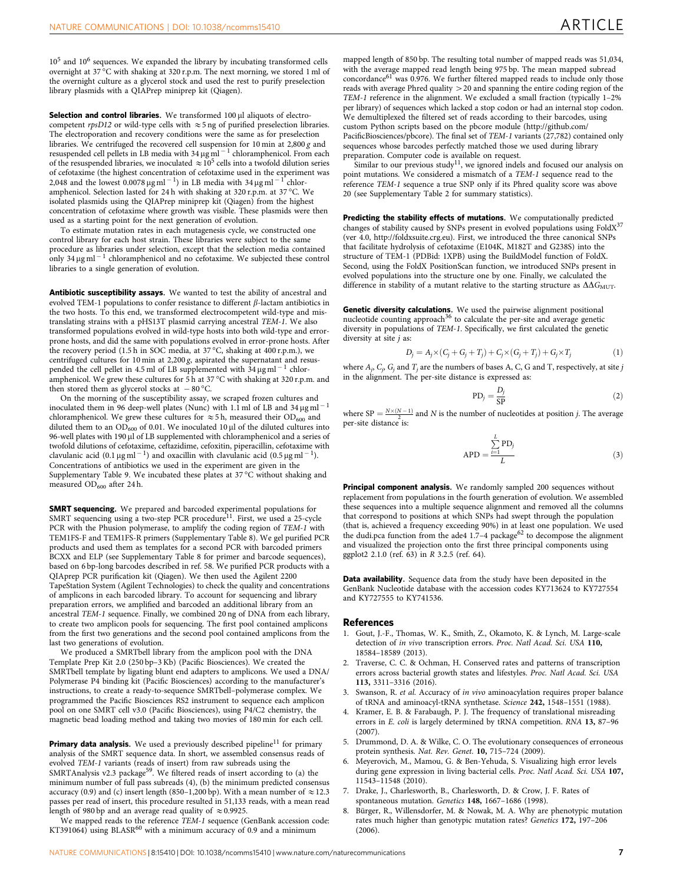<span id="page-6-0"></span> $10<sup>5</sup>$  and  $10<sup>6</sup>$  sequences. We expanded the library by incubating transformed cells overnight at 37 °C with shaking at 320 r.p.m. The next morning, we stored 1 ml of the overnight culture as a glycerol stock and used the rest to purify preselection library plasmids with a QIAPrep miniprep kit (Qiagen).

Selection and control libraries. We transformed 100 ul aliquots of electrocompetent rpsD12 or wild-type cells with  $\approx$  5 ng of purified preselection libraries. The electroporation and recovery conditions were the same as for preselection libraries. We centrifuged the recovered cell suspension for 10 min at 2,800 g and resuspended cell pellets in LB media with 34  $\mu$ g ml  $^{-1}$  chloramphenicol. From each of the resuspended libraries, we inoculated  $\approx 10^5$  cells into a twofold dilution series of cefotaxime (the highest concentration of cefotaxime used in the experiment was 2,048 and the lowest 0.0078 µg ml <sup>- 1</sup>) in LB media with 34 µg ml <sup>- 1</sup> chloramphenicol. Selection lasted for 24 h with shaking at 320 r.p.m. at 37 °C. We isolated plasmids using the QIAPrep miniprep kit (Qiagen) from the highest concentration of cefotaxime where growth was visible. These plasmids were then used as a starting point for the next generation of evolution.

To estimate mutation rates in each mutagenesis cycle, we constructed one control library for each host strain. These libraries were subject to the same procedure as libraries under selection, except that the selection media contained only 34  $\mu$ g ml  $^{-1}$  chloramphenicol and no cefotaxime. We subjected these control libraries to a single generation of evolution.

Antibiotic susceptibility assays. We wanted to test the ability of ancestral and evolved TEM-1 populations to confer resistance to different  $\beta$ -lactam antibiotics in the two hosts. To this end, we transformed electrocompetent wild-type and mistranslating strains with a pHS13T plasmid carrying ancestral TEM-1. We also transformed populations evolved in wild-type hosts into both wild-type and errorprone hosts, and did the same with populations evolved in error-prone hosts. After the recovery period (1.5 h in SOC media, at 37 °C, shaking at 400 r.p.m.), we centrifuged cultures for 10 min at 2,200 g, aspirated the supernatant and resuspended the cell pellet in 4.5 ml of LB supplemented with  $34 \,\mathrm{\upmu g\,ml}^{-1}$  chloramphenicol. We grew these cultures for 5 h at 37 °C with shaking at 320 r.p.m. and then stored them as glycerol stocks at  $-80^{\circ}$ C.

On the morning of the susceptibility assay, we scraped frozen cultures and inoculated them in 96 deep-well plates (Nunc) with 1.1 ml of LB and 34  $\mu$ g ml<sup>-1</sup> chloramphenicol. We grew these cultures for  $\approx$  5 h, measured their OD<sub>600</sub> and diluted them to an  $OD<sub>600</sub>$  of 0.01. We inoculated 10 µl of the diluted cultures into 96-well plates with 190 µl of LB supplemented with chloramphenicol and a series of twofold dilutions of cefotaxime, ceftazidime, cefoxitin, piperacillin, cefotaxime with clavulanic acid (0.1  $\mu$ g ml<sup>-1</sup>) and oxacillin with clavulanic acid (0.5  $\mu$ g ml<sup>-1</sup>). Concentrations of antibiotics we used in the experiment are given in the Supplementary Table 9. We incubated these plates at 37  $^{\circ}\textrm{C}$  without shaking and measured OD<sub>600</sub> after 24 h.

**SMRT sequencing.** We prepared and barcoded experimental populations for SMRT sequencing using a two-step PCR procedure<sup>11</sup>. First, we used a 25-cycle PCR with the Phusion polymerase, to amplify the coding region of TEM-1 with TEM1FS-F and TEM1FS-R primers (Supplementary Table 8). We gel purified PCR products and used them as templates for a second PCR with barcoded primers BCXX and ELP (see Supplementary Table 8 for primer and barcode sequences), based on 6 bp-long barcodes described in [ref. 58.](#page-7-0) We purified PCR products with a QIAprep PCR purification kit (Qiagen). We then used the Agilent 2200 TapeStation System (Agilent Technologies) to check the quality and concentrations of amplicons in each barcoded library. To account for sequencing and library preparation errors, we amplified and barcoded an additional library from an ancestral TEM-1 sequence. Finally, we combined 20 ng of DNA from each library, to create two amplicon pools for sequencing. The first pool contained amplicons from the first two generations and the second pool contained amplicons from the last two generations of evolution.

We produced a SMRTbell library from the amplicon pool with the DNA Template Prep Kit 2.0 (250 bp–3 Kb) (Pacific Biosciences). We created the SMRTbell template by ligating blunt end adapters to amplicons. We used a DNA/ Polymerase P4 binding kit (Pacific Biosciences) according to the manufacturer's instructions, to create a ready-to-sequence SMRTbell–polymerase complex. We programmed the Pacific Biosciences RS2 instrument to sequence each amplicon pool on one SMRT cell v3.0 (Pacific Biosciences), using P4/C2 chemistry, the magnetic bead loading method and taking two movies of 180 min for each cell.

**Primary data analysis.** We used a previously described pipeline<sup>[11](#page-7-0)</sup> for primary analysis of the SMRT sequence data. In short, we assembled consensus reads of evolved TEM-1 variants (reads of insert) from raw subreads using the SMRTAnalysis v2.3 package<sup>59</sup>. We filtered reads of insert according to (a) the minimum number of full pass subreads (4), (b) the minimum predicted consensus accuracy (0.9) and (c) insert length (850–1,200 bp). With a mean number of  $\approx$  12.3 passes per read of insert, this procedure resulted in 51,133 reads, with a mean read length of 980 bp and an average read quality of  $\approx$  0.9925.

We mapped reads to the reference *TEM-1* sequence (GenBank accession code:<br>KT391064) using BLASR<sup>[60](#page-7-0)</sup> with a minimum accuracy of 0.9 and a minimum

mapped length of 850 bp. The resulting total number of mapped reads was 51,034, with the average mapped read length being 975 bp. The mean mapped subread concordance<sup>[61](#page-7-0)</sup> was 0.976. We further filtered mapped reads to include only those reads with average Phred quality  $>$  20 and spanning the entire coding region of the TEM-1 reference in the alignment. We excluded a small fraction (typically 1–2% per library) of sequences which lacked a stop codon or had an internal stop codon. We demultiplexed the filtered set of reads according to their barcodes, using custom Python scripts based on the pbcore module ([http://github.com/](http://github.com/PacificBiosciences/pbcore) [PacificBiosciences/pbcore\)](http://github.com/PacificBiosciences/pbcore). The final set of TEM-1 variants (27,782) contained only sequences whose barcodes perfectly matched those we used during library

preparation. Computer code is available on request.<br>Similar to our previous study<sup>11</sup>, we ignored indels and focused our analysis on point mutations. We considered a mismatch of a TEM-1 sequence read to the reference TEM-1 sequence a true SNP only if its Phred quality score was above 20 (see Supplementary Table 2 for summary statistics).

Predicting the stability effects of mutations. We computationally predicted changes of stability caused by SNPs present in evolved populations using FoldX<sup>[37](#page-7-0)</sup> (ver 4.0,<http://foldxsuite.crg.eu>). First, we introduced the three canonical SNPs that facilitate hydrolysis of cefotaxime (E104K, M182T and G238S) into the structure of TEM-1 (PDBid: 1XPB) using the BuildModel function of FoldX. Second, using the FoldX PositionScan function, we introduced SNPs present in evolved populations into the structure one by one. Finally, we calculated the difference in stability of a mutant relative to the starting structure as  $\Delta\Delta G_{\rm{MUT}}$ .

Genetic diversity calculations. We used the pairwise alignment positional nucleotide counting approach<sup>[36](#page-7-0)</sup> to calculate the per-site and average genetic diversity in populations of TEM-1. Specifically, we first calculated the genetic diversity at site *j* as:

$$
D_j = A_j \times (C_j + G_j + T_j) + C_j \times (G_j + T_j) + G_j \times T_j \tag{1}
$$

where  $A_i$ ,  $C_i$ ,  $G_i$  and  $T_i$  are the numbers of bases A, C, G and T, respectively, at site j in the alignment. The per-site distance is expressed as:

$$
PD_j = \frac{D_j}{SP}
$$
 (2)

where SP =  $\frac{N \times (N-1)}{2}$  and N is the number of nucleotides at position j. The average per-site distance is:

$$
APD = \frac{\sum_{i=1}^{L} PD_j}{L} \tag{3}
$$

Principal component analysis. We randomly sampled 200 sequences without replacement from populations in the fourth generation of evolution. We assembled these sequences into a multiple sequence alignment and removed all the columns that correspond to positions at which SNPs had swept through the population (that is, achieved a frequency exceeding 90%) in at least one population. We used the dudi.pca function from the ade4  $1.7-4$  package<sup>[62](#page-7-0)</sup> to decompose the alignment and visualized the projection onto the first three principal components using ggplot2 2.1.0 [\(ref. 63\)](#page-7-0) in R 3.2.5 [\(ref. 64\)](#page-7-0).

Data availability. Sequence data from the study have been deposited in the GenBank Nucleotide database with the accession codes KY713624 to KY727554 and KY727555 to KY741536.

#### References

- 1. Gout, J.-F., Thomas, W. K., Smith, Z., Okamoto, K. & Lynch, M. Large-scale detection of in vivo transcription errors. Proc. Natl Acad. Sci. USA 110, 18584–18589 (2013).
- 2. Traverse, C. C. & Ochman, H. Conserved rates and patterns of transcription errors across bacterial growth states and lifestyles. Proc. Natl Acad. Sci. USA 113, 3311–3316 (2016).
- 3. Swanson, R. et al. Accuracy of in vivo aminoacylation requires proper balance of tRNA and aminoacyl-tRNA synthetase. Science 242, 1548–1551 (1988).
- Kramer, E. B. & Farabaugh, P. J. The frequency of translational misreading errors in E. coli is largely determined by tRNA competition. RNA 13, 87-96 (2007).
- 5. Drummond, D. A. & Wilke, C. O. The evolutionary consequences of erroneous protein synthesis. Nat. Rev. Genet. 10, 715–724 (2009).
- 6. Meyerovich, M., Mamou, G. & Ben-Yehuda, S. Visualizing high error levels during gene expression in living bacterial cells. Proc. Natl Acad. Sci. USA 107, 11543–11548 (2010).
- 7. Drake, J., Charlesworth, B., Charlesworth, D. & Crow, J. F. Rates of spontaneous mutation. Genetics 148, 1667-1686 (1998).
- Bürger, R., Willensdorfer, M. & Nowak, M. A. Why are phenotypic mutation rates much higher than genotypic mutation rates? Genetics 172, 197–206 (2006).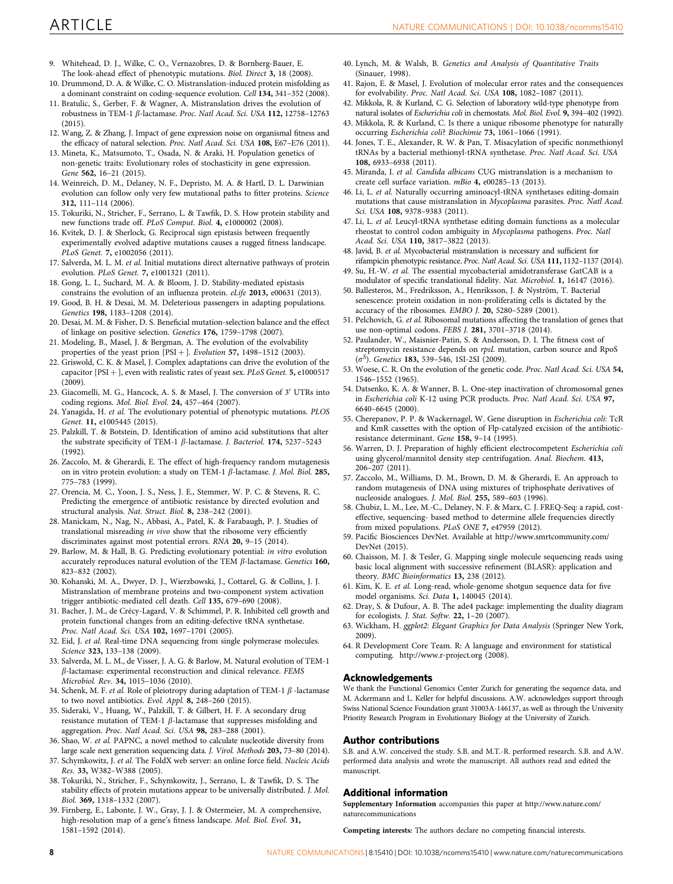- <span id="page-7-0"></span>9. Whitehead, D. J., Wilke, C. O., Vernazobres, D. & Bornberg-Bauer, E. The look-ahead effect of phenotypic mutations. Biol. Direct 3, 18 (2008).
- 10. Drummond, D. A. & Wilke, C. O. Mistranslation-induced protein misfolding as a dominant constraint on coding-sequence evolution. Cell 134, 341-352 (2008).
- 11. Bratulic, S., Gerber, F. & Wagner, A. Mistranslation drives the evolution of robustness in TEM-1 β-lactamase. Proc. Natl Acad. Sci. USA 112, 12758-12763 (2015).
- 12. Wang, Z. & Zhang, J. Impact of gene expression noise on organismal fitness and the efficacy of natural selection. Proc. Natl Acad. Sci. USA 108, E67-E76 (2011).
- 13. Mineta, K., Matsumoto, T., Osada, N. & Araki, H. Population genetics of non-genetic traits: Evolutionary roles of stochasticity in gene expression. Gene 562, 16–21 (2015).
- 14. Weinreich, D. M., Delaney, N. F., Depristo, M. A. & Hartl, D. L. Darwinian evolution can follow only very few mutational paths to fitter proteins. Science 312, 111–114 (2006).
- 15. Tokuriki, N., Stricher, F., Serrano, L. & Tawfik, D. S. How protein stability and new functions trade off. PLoS Comput. Biol. 4, e1000002 (2008).
- 16. Kvitek, D. J. & Sherlock, G. Reciprocal sign epistasis between frequently experimentally evolved adaptive mutations causes a rugged fitness landscape. PLoS Genet. 7, e1002056 (2011).
- 17. Salverda, M. L. M. et al. Initial mutations direct alternative pathways of protein evolution. PLoS Genet. 7, e1001321 (2011).
- 18. Gong, L. I., Suchard, M. A. & Bloom, J. D. Stability-mediated epistasis constrains the evolution of an influenza protein. eLife 2013, e00631 (2013).
- 19. Good, B. H. & Desai, M. M. Deleterious passengers in adapting populations. Genetics 198, 1183–1208 (2014).
- 20. Desai, M. M. & Fisher, D. S. Beneficial mutation-selection balance and the effect of linkage on positive selection. Genetics 176, 1759–1798 (2007).
- 21. Modeling, B., Masel, J. & Bergman, A. The evolution of the evolvability properties of the yeast prion  $[PSI + ]$ . Evolution 57, 1498–1512 (2003).
- 22. Griswold, C. K. & Masel, J. Complex adaptations can drive the evolution of the capacitor [PSI  $+$  ], even with realistic rates of yeast sex. PLoS Genet. 5, e1000517  $(2009)$
- 23. Giacomelli, M. G., Hancock, A. S. & Masel, J. The conversion of 3' UTRs into coding regions. Mol. Biol. Evol. 24, 457–464 (2007).
- 24. Yanagida, H. et al. The evolutionary potential of phenotypic mutations. PLOS Genet. 11, e1005445 (2015).
- 25. Palzkill, T. & Botstein, D. Identification of amino acid substitutions that alter the substrate specificity of TEM-1  $\beta$ -lactamase. J. Bacteriol. 174, 5237-5243  $(1992)$
- 26. Zaccolo, M. & Gherardi, E. The effect of high-frequency random mutagenesis on in vitro protein evolution: a study on TEM-1  $\beta$ -lactamase. J. Mol. Biol. 285, 775–783 (1999).
- 27. Orencia, M. C., Yoon, J. S., Ness, J. E., Stemmer, W. P. C. & Stevens, R. C. Predicting the emergence of antibiotic resistance by directed evolution and structural analysis. Nat. Struct. Biol. 8, 238–242 (2001).
- 28. Manickam, N., Nag, N., Abbasi, A., Patel, K. & Farabaugh, P. J. Studies of translational misreading in vivo show that the ribosome very efficiently discriminates against most potential errors. RNA 20, 9–15 (2014).
- 29. Barlow, M. & Hall, B. G. Predicting evolutionary potential: in vitro evolution accurately reproduces natural evolution of the TEM  $\beta$ -lactamase. Genetics 160, 823–832 (2002).
- 30. Kohanski, M. A., Dwyer, D. J., Wierzbowski, J., Cottarel, G. & Collins, J. J. Mistranslation of membrane proteins and two-component system activation trigger antibiotic-mediated cell death. Cell 135, 679–690 (2008).
- 31. Bacher, J. M., de Crécy-Lagard, V. & Schimmel, P. R. Inhibited cell growth and protein functional changes from an editing-defective tRNA synthetase. Proc. Natl Acad. Sci. USA 102, 1697–1701 (2005).
- 32. Eid, J. et al. Real-time DNA sequencing from single polymerase molecules. Science 323, 133–138 (2009).
- 33. Salverda, M. L. M., de Visser, J. A. G. & Barlow, M. Natural evolution of TEM-1  $\beta$ -lactamase: experimental reconstruction and clinical relevance. FEMS Microbiol. Rev. 34, 1015–1036 (2010).
- 34. Schenk, M. F. et al. Role of pleiotropy during adaptation of TEM-1  $\beta$  -lactamase to two novel antibiotics. Evol. Appl. 8, 248–260 (2015).
- 35. Sideraki, V., Huang, W., Palzkill, T. & Gilbert, H. F. A secondary drug resistance mutation of TEM-1  $\beta$ -lactamase that suppresses misfolding and aggregation. Proc. Natl Acad. Sci. USA 98, 283–288 (2001).
- 36. Shao, W. et al. PAPNC, a novel method to calculate nucleotide diversity from large scale next generation sequencing data. J. Virol. Methods 203, 73–80 (2014).
- 37. Schymkowitz, J. et al. The FoldX web server: an online force field. Nucleic Acids Res. 33, W382–W388 (2005).
- 38. Tokuriki, N., Stricher, F., Schymkowitz, J., Serrano, L. & Tawfik, D. S. The stability effects of protein mutations appear to be universally distributed. J. Mol. Biol. 369, 1318–1332 (2007).
- 39. Firnberg, E., Labonte, J. W., Gray, J. J. & Ostermeier, M. A comprehensive, high-resolution map of a gene's fitness landscape. Mol. Biol. Evol. 31, 1581–1592 (2014).
- 40. Lynch, M. & Walsh, B. Genetics and Analysis of Quantitative Traits (Sinauer, 1998).
- 41. Rajon, E. & Masel, J. Evolution of molecular error rates and the consequences for evolvability. Proc. Natl Acad. Sci. USA 108, 1082–1087 (2011).
- 42. Mikkola, R. & Kurland, C. G. Selection of laboratory wild-type phenotype from natural isolates of Escherichia coli in chemostats. Mol. Biol. Evol. 9, 394–402 (1992).
- 43. Mikkola, R. & Kurland, C. Is there a unique ribosome phenotype for naturally occurring Escherichia coli? Biochimie 73, 1061–1066 (1991).
- 44. Jones, T. E., Alexander, R. W. & Pan, T. Misacylation of specific nonmethionyl tRNAs by a bacterial methionyl-tRNA synthetase. Proc. Natl Acad. Sci. USA 108, 6933–6938 (2011).
- 45. Miranda, I. et al. Candida albicans CUG mistranslation is a mechanism to create cell surface variation. mBio 4, e00285–13 (2013).
- 46. Li, L. et al. Naturally occurring aminoacyl-tRNA synthetases editing-domain mutations that cause mistranslation in Mycoplasma parasites. Proc. Natl Acad. Sci. USA 108, 9378–9383 (2011).
- 47. Li, L. et al. Leucyl-tRNA synthetase editing domain functions as a molecular rheostat to control codon ambiguity in Mycoplasma pathogens. Proc. Natl Acad. Sci. USA 110, 3817–3822 (2013).
- 48. Javid, B. et al. Mycobacterial mistranslation is necessary and sufficient for rifampicin phenotypic resistance. Proc. Natl Acad. Sci. USA 111, 1132–1137 (2014).
- 49. Su, H.-W. et al. The essential mycobacterial amidotransferase GatCAB is a modulator of specific translational fidelity. Nat. Microbiol. 1, 16147 (2016).
- 50. Ballesteros, M., Fredriksson, A., Henriksson, J. & Nyström, T. Bacterial senescence: protein oxidation in non-proliferating cells is dictated by the accuracy of the ribosomes. EMBO J. 20, 5280–5289 (2001).
- 51. Pelchovich, G. et al. Ribosomal mutations affecting the translation of genes that use non-optimal codons. FEBS J. 281, 3701–3718 (2014).
- 52. Paulander, W., Maisnier-Patin, S. & Andersson, D. I. The fitness cost of streptomycin resistance depends on rpsL mutation, carbon source and RpoS  $(\sigma^S)$ . Genetics 183, 539-546, 1SI-2SI (2009).
- 53. Woese, C. R. On the evolution of the genetic code. Proc. Natl Acad. Sci. USA 54, 1546–1552 (1965).
- 54. Datsenko, K. A. & Wanner, B. L. One-step inactivation of chromosomal genes in Escherichia coli K-12 using PCR products. Proc. Natl Acad. Sci. USA 97, 6640–6645 (2000).
- 55. Cherepanov, P. P. & Wackernagel, W. Gene disruption in Escherichia coli: TcR and KmR cassettes with the option of Flp-catalyzed excision of the antibioticresistance determinant. Gene 158, 9–14 (1995).
- 56. Warren, D. J. Preparation of highly efficient electrocompetent Escherichia coli using glycerol/mannitol density step centrifugation. Anal. Biochem. 413, 206–207 (2011).
- 57. Zaccolo, M., Williams, D. M., Brown, D. M. & Gherardi, E. An approach to random mutagenesis of DNA using mixtures of triphosphate derivatives of nucleoside analogues. J. Mol. Biol. 255, 589–603 (1996).
- 58. Chubiz, L. M., Lee, M.-C., Delaney, N. F. & Marx, C. J. FREQ-Seq: a rapid, costeffective, sequencing- based method to determine allele frequencies directly from mixed populations. PLoS ONE 7, e47959 (2012).
- 59. Pacific Biosciences DevNet. Available at [http://www.smrtcommunity.com/](http://www.smrtcommunity.com/DevNet) [DevNet](http://www.smrtcommunity.com/DevNet) (2015).
- 60. Chaisson, M. J. & Tesler, G. Mapping single molecule sequencing reads using basic local alignment with successive refinement (BLASR): application and theory. BMC Bioinformatics 13, 238 (2012).
- 61. Kim, K. E. et al. Long-read, whole-genome shotgun sequence data for five model organisms. Sci. Data 1, 140045 (2014).
- 62. Dray, S. & Dufour, A. B. The ade4 package: implementing the duality diagram for ecologists. J. Stat. Softw. 22, 1–20 (2007).
- 63. Wickham, H. ggplot2: Elegant Graphics for Data Analysis (Springer New York, 2009).
- 64. R Development Core Team. R: A language and environment for statistical computing.<http://www.r-project.org> (2008).

### Acknowledgements

We thank the Functional Genomics Center Zurich for generating the sequence data, and M. Ackermann and L. Keller for helpful discussions. A.W. acknowledges support through Swiss National Science Foundation grant 31003A-146137, as well as through the University Priority Research Program in Evolutionary Biology at the University of Zurich.

#### Author contributions

S.B. and A.W. conceived the study. S.B. and M.T.-R. performed research. S.B. and A.W. performed data analysis and wrote the manuscript. All authors read and edited the manuscript.

### Additional information

Supplementary Information accompanies this paper at [http://www.nature.com/](http://www.nature.com/naturecommunications) [naturecommunications](http://www.nature.com/naturecommunications)

Competing interests: The authors declare no competing financial interests.